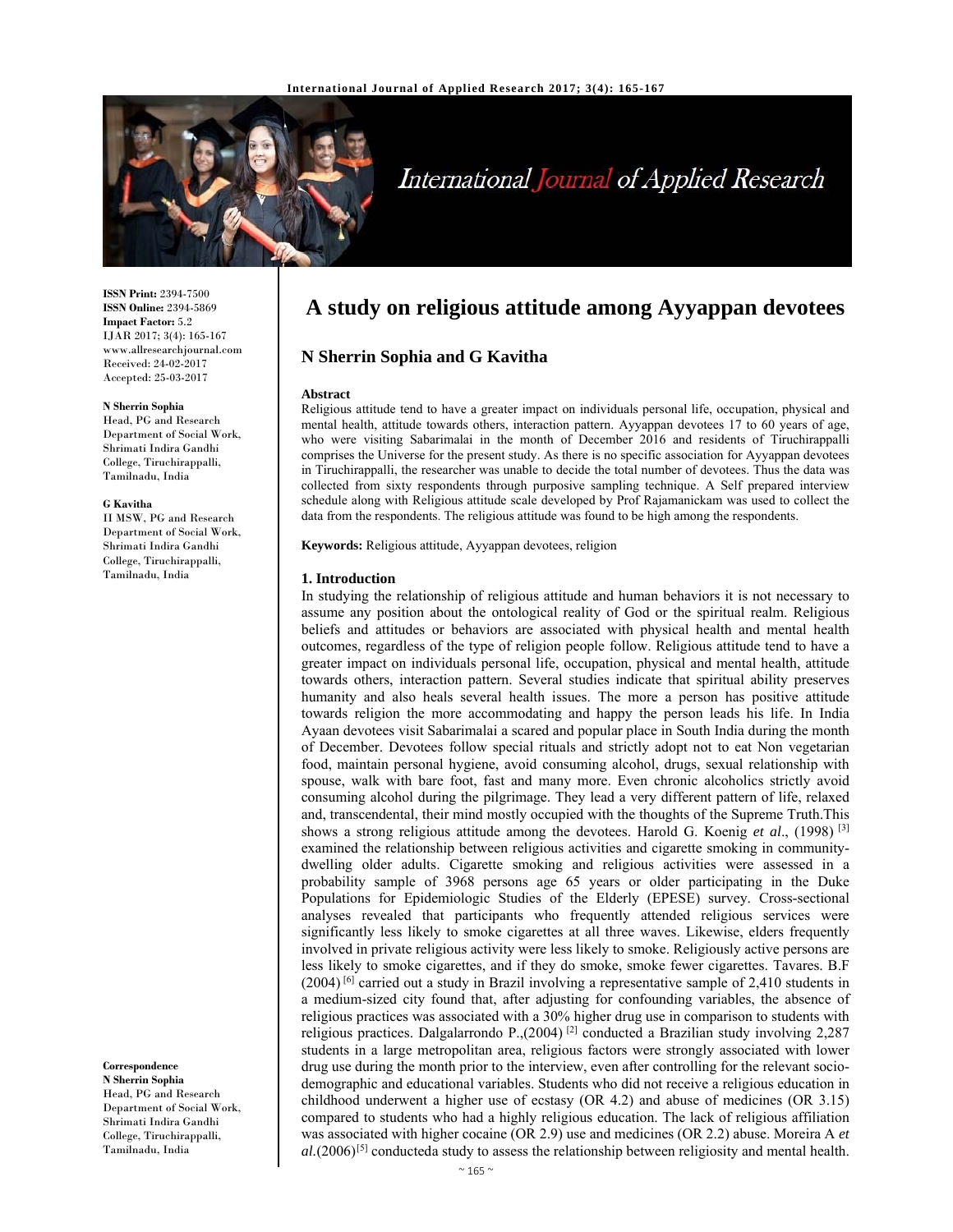

# International Journal of Applied Research

**ISSN Print:** 2394-7500 **ISSN Online:** 2394-5869 **Impact Factor:** 5.2 IJAR 2017; 3(4): 165-167 www.allresearchjournal.com Received: 24-02-2017 Accepted: 25-03-2017

#### **N Sherrin Sophia**

Head, PG and Research Department of Social Work, Shrimati Indira Gandhi College, Tiruchirappalli, Tamilnadu, India

#### **G Kavitha**

II MSW, PG and Research Department of Social Work, Shrimati Indira Gandhi College, Tiruchirappalli, Tamilnadu, India

**Correspondence N Sherrin Sophia**  Head, PG and Research

Department of Social Work, Shrimati Indira Gandhi College, Tiruchirappalli, Tamilnadu, India

# **A study on religious attitude among Ayyappan devotees**

# **N Sherrin Sophia and G Kavitha**

#### **Abstract**

Religious attitude tend to have a greater impact on individuals personal life, occupation, physical and mental health, attitude towards others, interaction pattern. Ayyappan devotees 17 to 60 years of age, who were visiting Sabarimalai in the month of December 2016 and residents of Tiruchirappalli comprises the Universe for the present study. As there is no specific association for Ayyappan devotees in Tiruchirappalli, the researcher was unable to decide the total number of devotees. Thus the data was collected from sixty respondents through purposive sampling technique. A Self prepared interview schedule along with Religious attitude scale developed by Prof Rajamanickam was used to collect the data from the respondents. The religious attitude was found to be high among the respondents.

**Keywords:** Religious attitude, Ayyappan devotees, religion

#### **1. Introduction**

In studying the relationship of religious attitude and human behaviors it is not necessary to assume any position about the ontological reality of God or the spiritual realm. Religious beliefs and attitudes or behaviors are associated with physical health and mental health outcomes, regardless of the type of religion people follow. Religious attitude tend to have a greater impact on individuals personal life, occupation, physical and mental health, attitude towards others, interaction pattern. Several studies indicate that spiritual ability preserves humanity and also heals several health issues. The more a person has positive attitude towards religion the more accommodating and happy the person leads his life. In India Ayaan devotees visit Sabarimalai a scared and popular place in South India during the month of December. Devotees follow special rituals and strictly adopt not to eat Non vegetarian food, maintain personal hygiene, avoid consuming alcohol, drugs, sexual relationship with spouse, walk with bare foot, fast and many more. Even chronic alcoholics strictly avoid consuming alcohol during the pilgrimage. They lead a very different pattern of life, relaxed and, transcendental, their mind mostly occupied with the thoughts of the Supreme Truth.This shows a strong religious attitude among the devotees. Harold G. Koenig *et al*., (1998) [3] examined the relationship between religious activities and cigarette smoking in communitydwelling older adults. Cigarette smoking and religious activities were assessed in a probability sample of 3968 persons age 65 years or older participating in the Duke Populations for Epidemiologic Studies of the Elderly (EPESE) survey. Cross-sectional analyses revealed that participants who frequently attended religious services were significantly less likely to smoke cigarettes at all three waves. Likewise, elders frequently involved in private religious activity were less likely to smoke. Religiously active persons are less likely to smoke cigarettes, and if they do smoke, smoke fewer cigarettes. Tavares. B.F (2004) [6] carried out a study in Brazil involving a representative sample of 2,410 students in a medium-sized city found that, after adjusting for confounding variables, the absence of religious practices was associated with a 30% higher drug use in comparison to students with religious practices. Dalgalarrondo P.,(2004) [2] conducted a Brazilian study involving 2,287 students in a large metropolitan area, religious factors were strongly associated with lower drug use during the month prior to the interview, even after controlling for the relevant sociodemographic and educational variables. Students who did not receive a religious education in childhood underwent a higher use of ecstasy (OR 4.2) and abuse of medicines (OR 3.15) compared to students who had a highly religious education. The lack of religious affiliation was associated with higher cocaine (OR 2.9) use and medicines (OR 2.2) abuse. Moreira A *et al.*(2006)[5] conducteda study to assess the relationship between religiosity and mental health.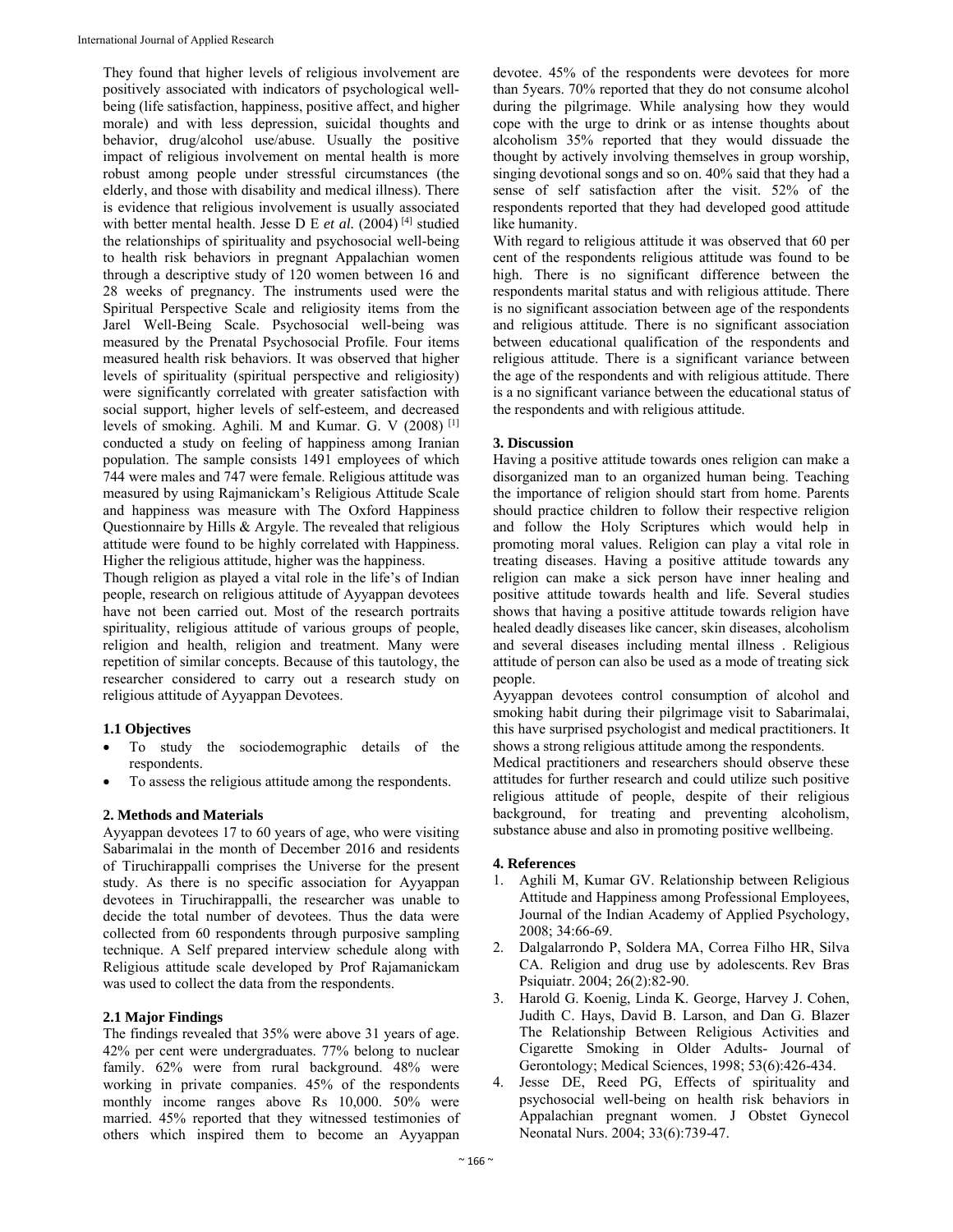They found that higher levels of religious involvement are positively associated with indicators of psychological wellbeing (life satisfaction, happiness, positive affect, and higher morale) and with less depression, suicidal thoughts and behavior, drug/alcohol use/abuse. Usually the positive impact of religious involvement on mental health is more robust among people under stressful circumstances (the elderly, and those with disability and medical illness). There is evidence that religious involvement is usually associated with better mental health. Jesse D E et al. (2004)<sup>[4]</sup> studied the relationships of spirituality and psychosocial well-being to health risk behaviors in pregnant Appalachian women through a descriptive study of 120 women between 16 and 28 weeks of pregnancy. The instruments used were the Spiritual Perspective Scale and religiosity items from the Jarel Well-Being Scale. Psychosocial well-being was measured by the Prenatal Psychosocial Profile. Four items measured health risk behaviors. It was observed that higher levels of spirituality (spiritual perspective and religiosity) were significantly correlated with greater satisfaction with social support, higher levels of self-esteem, and decreased levels of smoking. Aghili. M and Kumar. G. V (2008) [1] conducted a study on feeling of happiness among Iranian population. The sample consists 1491 employees of which 744 were males and 747 were female. Religious attitude was measured by using Rajmanickam's Religious Attitude Scale and happiness was measure with The Oxford Happiness Questionnaire by Hills & Argyle. The revealed that religious attitude were found to be highly correlated with Happiness. Higher the religious attitude, higher was the happiness.

Though religion as played a vital role in the life's of Indian people, research on religious attitude of Ayyappan devotees have not been carried out. Most of the research portraits spirituality, religious attitude of various groups of people, religion and health, religion and treatment. Many were repetition of similar concepts. Because of this tautology, the researcher considered to carry out a research study on religious attitude of Ayyappan Devotees.

# **1.1 Objectives**

- To study the sociodemographic details of the respondents.
- To assess the religious attitude among the respondents.

# **2. Methods and Materials**

Ayyappan devotees 17 to 60 years of age, who were visiting Sabarimalai in the month of December 2016 and residents of Tiruchirappalli comprises the Universe for the present study. As there is no specific association for Ayyappan devotees in Tiruchirappalli, the researcher was unable to decide the total number of devotees. Thus the data were collected from 60 respondents through purposive sampling technique. A Self prepared interview schedule along with Religious attitude scale developed by Prof Rajamanickam was used to collect the data from the respondents.

# **2.1 Major Findings**

The findings revealed that 35% were above 31 years of age. 42% per cent were undergraduates. 77% belong to nuclear family. 62% were from rural background. 48% were working in private companies. 45% of the respondents monthly income ranges above Rs 10,000. 50% were married. 45% reported that they witnessed testimonies of others which inspired them to become an Ayyappan

devotee. 45% of the respondents were devotees for more than 5years. 70% reported that they do not consume alcohol during the pilgrimage. While analysing how they would cope with the urge to drink or as intense thoughts about alcoholism 35% reported that they would dissuade the thought by actively involving themselves in group worship, singing devotional songs and so on. 40% said that they had a sense of self satisfaction after the visit. 52% of the respondents reported that they had developed good attitude like humanity.

With regard to religious attitude it was observed that 60 per cent of the respondents religious attitude was found to be high. There is no significant difference between the respondents marital status and with religious attitude. There is no significant association between age of the respondents and religious attitude. There is no significant association between educational qualification of the respondents and religious attitude. There is a significant variance between the age of the respondents and with religious attitude. There is a no significant variance between the educational status of the respondents and with religious attitude.

# **3. Discussion**

Having a positive attitude towards ones religion can make a disorganized man to an organized human being. Teaching the importance of religion should start from home. Parents should practice children to follow their respective religion and follow the Holy Scriptures which would help in promoting moral values. Religion can play a vital role in treating diseases. Having a positive attitude towards any religion can make a sick person have inner healing and positive attitude towards health and life. Several studies shows that having a positive attitude towards religion have healed deadly diseases like cancer, skin diseases, alcoholism and several diseases including mental illness . Religious attitude of person can also be used as a mode of treating sick people.

Ayyappan devotees control consumption of alcohol and smoking habit during their pilgrimage visit to Sabarimalai, this have surprised psychologist and medical practitioners. It shows a strong religious attitude among the respondents. Medical practitioners and researchers should observe these attitudes for further research and could utilize such positive religious attitude of people, despite of their religious background, for treating and preventing alcoholism, substance abuse and also in promoting positive wellbeing.

# **4. References**

- 1. Aghili M, Kumar GV. Relationship between Religious Attitude and Happiness among Professional Employees, Journal of the Indian Academy of Applied Psychology, 2008; 34:66-69.
- 2. Dalgalarrondo P, Soldera MA, Correa Filho HR, Silva CA. Religion and drug use by adolescents. Rev Bras Psiquiatr. 2004; 26(2):82-90.
- 3. Harold G. Koenig, Linda K. George, Harvey J. Cohen, Judith C. Hays, David B. Larson, and Dan G. Blazer The Relationship Between Religious Activities and Cigarette Smoking in Older Adults- Journal of Gerontology; Medical Sciences, 1998; 53(6):426-434.
- 4. Jesse DE, Reed PG, Effects of spirituality and psychosocial well-being on health risk behaviors in Appalachian pregnant women. J Obstet Gynecol Neonatal Nurs. 2004; 33(6):739-47.